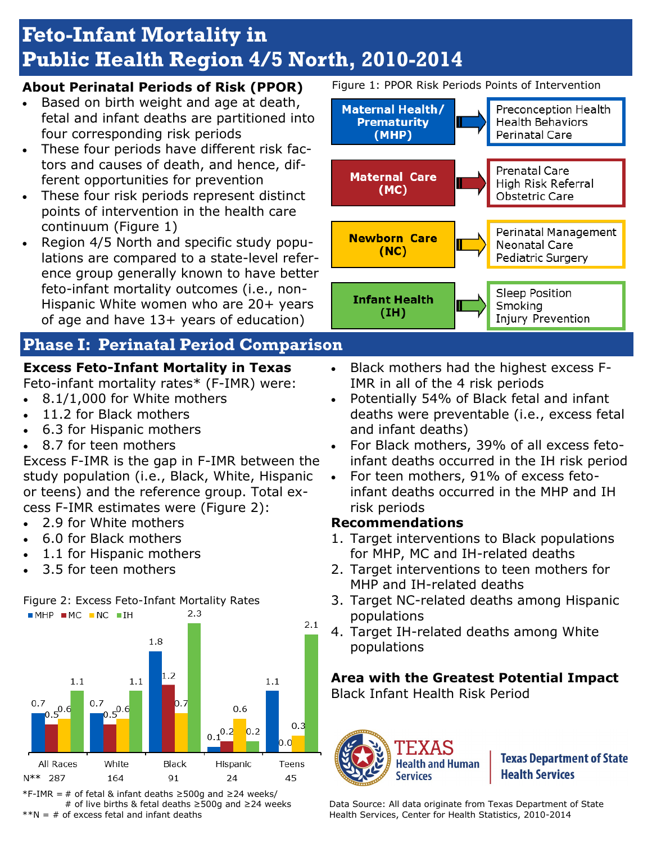# **Feto-Infant Mortality in Public Health Region 4/5 North, 2010-2014**

#### **About Perinatal Periods of Risk (PPOR)**

- Based on birth weight and age at death, fetal and infant deaths are partitioned into four corresponding risk periods
- These four periods have different risk factors and causes of death, and hence, different opportunities for prevention
- These four risk periods represent distinct points of intervention in the health care continuum (Figure 1)
- Region 4/5 North and specific study populations are compared to a state-level reference group generally known to have better feto-infant mortality outcomes (i.e., non-Hispanic White women who are 20+ years of age and have 13+ years of education)

# **Phase I: Perinatal Period Comparison**

## **Excess Feto-Infant Mortality in Texas**

Feto-infant mortality rates\* (F-IMR) were:

- 8.1/1,000 for White mothers
- 11.2 for Black mothers
- 6.3 for Hispanic mothers
- 8.7 for teen mothers

Excess F-IMR is the gap in F-IMR between the study population (i.e., Black, White, Hispanic or teens) and the reference group. Total excess F-IMR estimates were (Figure 2):

- 2.9 for White mothers
- 6.0 for Black mothers
- 1.1 for Hispanic mothers
- 3.5 for teen mothers





\*F-IMR = # of fetal & infant deaths ≥500g and ≥24 weeks/ # of live births & fetal deaths ≥500g and ≥24 weeks  $*N = #$  of excess fetal and infant deaths

Figure 1: PPOR Risk Periods Points of Intervention



Injury Prevention

- Black mothers had the highest excess F-IMR in all of the 4 risk periods
- Potentially 54% of Black fetal and infant deaths were preventable (i.e., excess fetal and infant deaths)
- For Black mothers, 39% of all excess fetoinfant deaths occurred in the IH risk period
- For teen mothers, 91% of excess fetoinfant deaths occurred in the MHP and IH risk periods

#### **Recommendations**

- 1. Target interventions to Black populations for MHP, MC and IH-related deaths
- 2. Target interventions to teen mothers for MHP and IH-related deaths
- 3. Target NC-related deaths among Hispanic populations
- 4. Target IH-related deaths among White populations

#### **Area with the Greatest Potential Impact**

Black Infant Health Risk Period



**Texas Department of State Health Services** 

Data Source: All data originate from Texas Department of State Health Services, Center for Health Statistics, 2010-2014